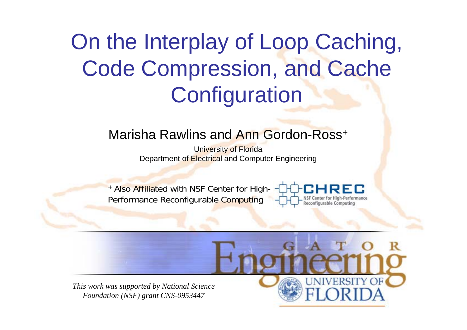### On the Interplay of Loop Caching, Code Compression, and Cache **Configuration**

#### Marisha Rawlins and Ann Gordon-Ross+

University of Florida Department of Electrical and Computer Engineering

+ Also Affiliated with NSF Center for High-Performance Reconfigurable Computing



*This work was supported by National Science Foundation (NSF) grant CNS-0953447*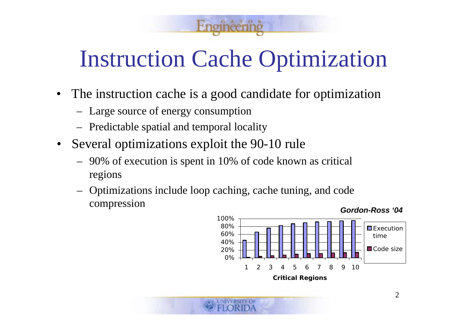### Instruction Cache Optimization

 $T$  O I

- $\bullet$  The instruction cache is a good candidate for optimization
	- Large source of energy consumption
	- Predictable spatial and temporal locality
- $\bullet$  Several optimizations exploit the 90-10 rule
	- 90% of execution is spent in 10% of code known as critical regions
	- Optimizations include loop caching, cache tuning, and code compression

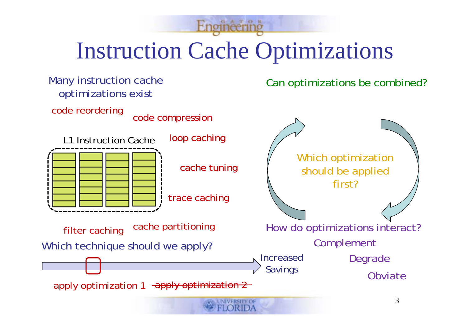## Instruction Cache Optimizations

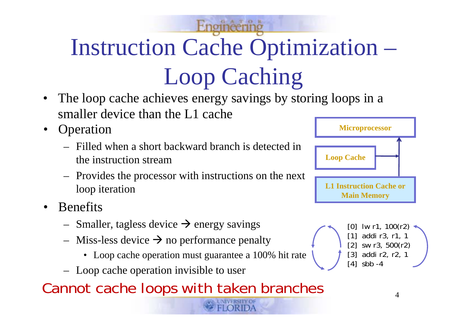# Instruction Cache Optimization – Loop Caching

- • The loop cache achieves energy savings by storing loops in a smaller device than the L1 cache
- • Operation
	- Filled when a short backward branch is detected in the instruction stream
	- Provides the processor with instructions on the next loop iteration
- • Benefits
	- –Smaller, tagless device  $\rightarrow$  energy savings
	- –Miss-less device  $\rightarrow$  no performance penalty
		- Loop cache operation must guarantee a 100% hit rate
	- Loop cache operation invisible to user
- Cannot cache loops with taken branches



 $[0]$  lw r1, 100(r2) [1] addi r3, r1, 1 [2] sw r3, 500(r2)

[3] addi r2, r2, 1

 $[4]$  sbb  $-4$ 

4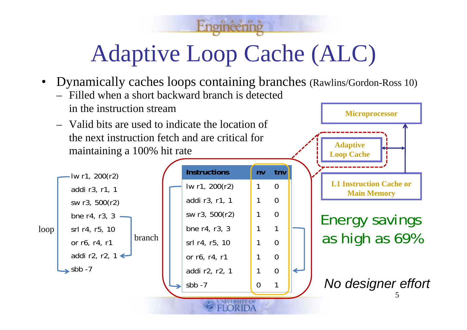## Adaptive Loop Cache (ALC)

GATOR

•Dynamically caches loops containing branches (Rawlins/Gordon-Ross 10)

**nv**

**tnv**

- Filled when a short backward branch is detected in the instruction stream
- Valid bits are used to indicate the location of the next instruction fetch and are critical for maintaining a 100% hit rate



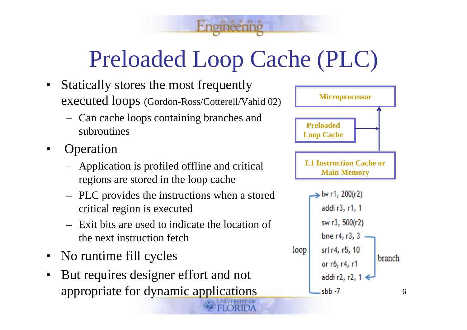### Preloaded Loop Cache (PLC)

ATOR

- • Statically stores the most frequently executed loops (Gordon-Ross/Cotterell/Vahid 02)
	- Can cache loops containing branches and subroutines
- • Operation
	- Application is profiled offline and critical regions are stored in the loop cache
	- PLC provides the instructions when a stored critical region is executed
	- Exit bits are used to indicate the location of the next instruction fetch
- •No runtime fill cycles
- • But requires designer effort and not appropriate for dynamic applications



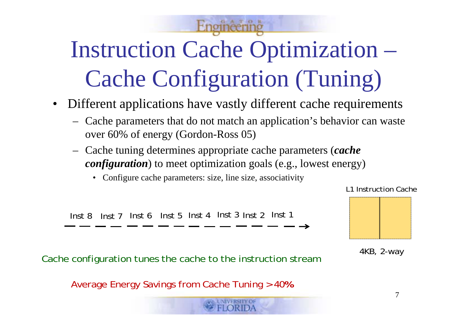## Instruction Cache Optimization – Cache Configuration (Tuning)

- • Different applications have vastly different cache requirements
	- – Cache parameters that do not match an application's behavior can waste over 60% of energy (Gordon-Ross 05)
	- – Cache tuning determines appropriate cache parameters (*cache configuration*) to meet optimization goals (e.g., lowest energy)
		- Configure cache parameters: size, line size, associativity

Inst 8 Inst 7 Inst 6 Inst 5 Inst 4 Inst 3 Inst 2 Inst 1

4KB, 2-way

Average Energy Savings from Cache Tuning > 40**%**

Cache configuration tunes the cache to the instruction stream

L1 Instruction Cache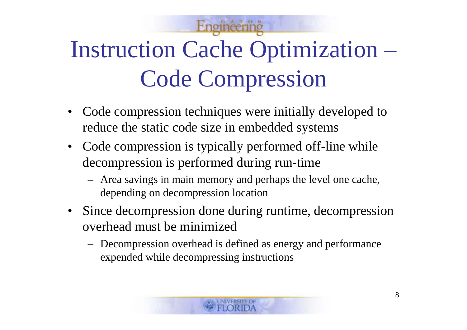# Instruction Cache Optimization – Code Compression

- $\bullet$  Code compression techniques were initially developed to reduce the static code size in embedded systems
- Code compression is typically performed off-line while decompression is performed during run-time
	- Area savings in main memory and perhaps the level one cache, depending on decompression location
- Since decompression done during runtime, decompression overhead must be minimized
	- Decompression overhead is defined as energy and performance expended while decompressing instructions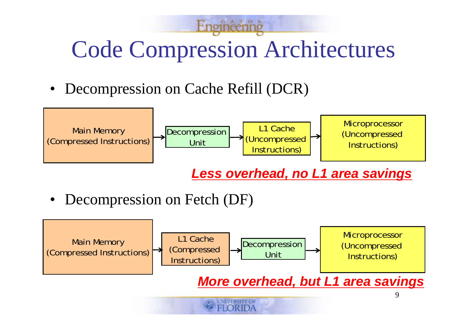## Code Compression Architectures

 $A$   $T$   $O$   $1$ 

• Decompression on Cache Refill (DCR)



*Less overhead, no L1 area savings*

•Decompression on Fetch (DF)

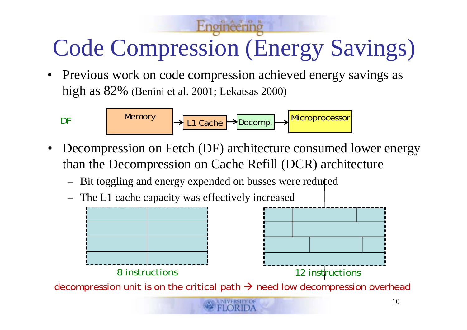## Code Compression (Energy Savings)

• Previous work on code compression achieved energy savings as high as 82% (Benini et al. 2001; Lekatsas 2000)

Memory Microprocessor L1 CacheDecomp.

- • Decompression on Fetch (DF) architecture consumed lower energy than the Decompression on Cache Refill (DCR) architecture
	- –Bit toggling and energy expended on busses were reduced
	- The L1 cache capacity was effectively increased

DF



decompression unit is on the critical path  $\rightarrow$  need low decompression overhead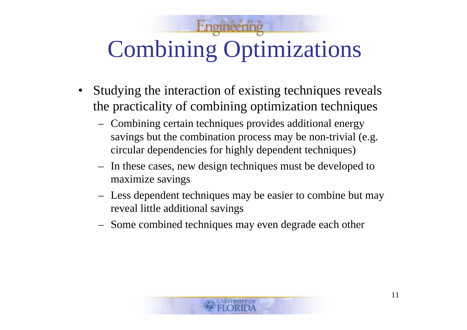# Combining Optimizations

- $\bullet$  Studying the interaction of existing techniques reveals the practicality of combining optimization techniques
	- Combining certain techniques provides additional energy savings but the combination process may be non-trivial (e.g. circular dependencies for highly dependent techniques)
	- In these cases, new design techniques must be developed to maximize savings
	- Less dependent techniques may be easier to combine but may reveal little additional savings
	- Some combined techniques may even degrade each other

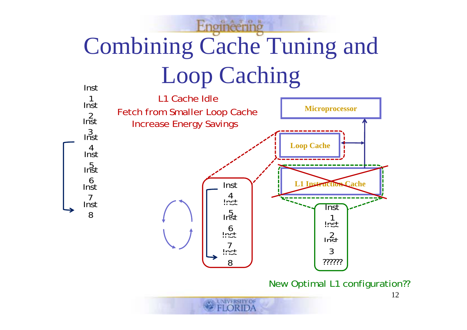#### GATOR Combining Cache Tuning and Loop Caching Inst

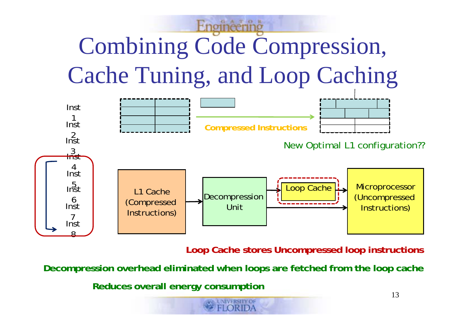# Combining Code Compression, Cache Tuning, and Loop Caching



**Loop Cache stores Uncompressed loop instructions**

**Decompression overhead eliminated when loops are fetched from the loop cache**

**Reduces overall energy consumption**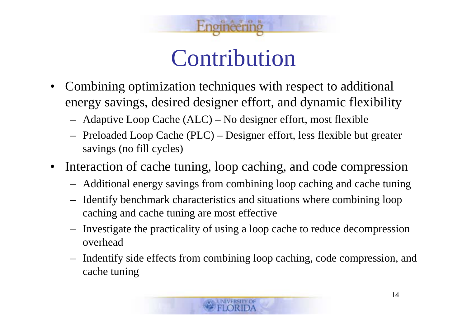

#### Contribution

- • Combining optimization techniques with respect to additional energy savings, desired designer effort, and dynamic flexibility
	- –Adaptive Loop Cache (ALC) – No designer effort, most flexible
	- – Preloaded Loop Cache (PLC) – Designer effort, less flexible but greater savings (no fill cycles)
- • Interaction of cache tuning, loop caching, and code compression
	- –Additional energy savings from combining loop caching and cache tuning
	- – Identify benchmark characteristics and situations where combining loop caching and cache tuning are most effective
	- – Investigate the practicality of using a loop cache to reduce decompression overhead
	- – Indentify side effects from combining loop caching, code compression, and cache tuning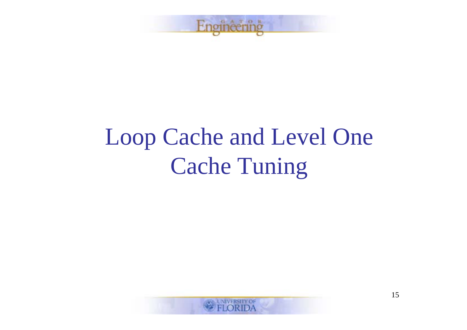

### Loop Cache and Level One **Cache Tuning**

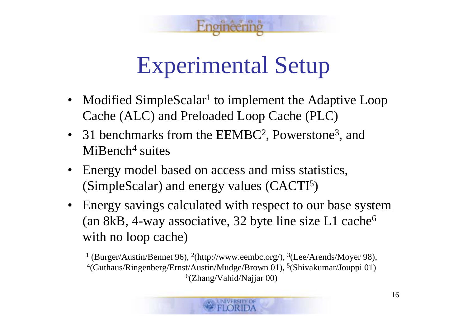

#### Experimental Setup

- Modified SimpleScalar<sup>1</sup> to implement the Adaptive Loop Cache (ALC) and Preloaded Loop Cache (PLC)
- 31 benchmarks from the EEMBC<sup>2</sup>, Powerstone<sup>3</sup>, and MiBench<sup>4</sup> suites
- $\bullet$  Energy model based on access and miss statistics, (SimpleScalar) and energy values (CACTI 5 )
- Energy savings calculated with respect to our base system (an 8kB, 4-way associative, 32 byte line size L1 cache 6 with no loop cache)

<sup>1</sup> (Burger/Austin/Bennet 96), <sup>2</sup>(http://www.eembc.org/), <sup>3</sup>(Lee/Arends/Moyer 98), <sup>4</sup>(Guthaus/Ringenberg/Ernst/Austin/Mudge/Brown 01), <sup>5</sup>(Shivakumar/Jouppi 01) 6(Zhang/Vahid/Najjar 00)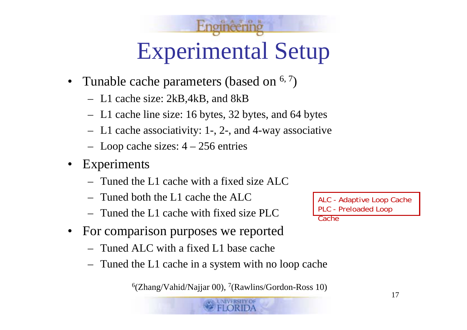## Experimental Setup

- Tunable cache parameters (based on  $6, 7)$ 
	- L1 cache size: 2kB,4kB, and 8kB
	- L1 cache line size: 16 bytes, 32 bytes, and 64 bytes
	- L1 cache associativity: 1-, 2-, and 4-way associative
	- Loop cache sizes: 4 256 entries
- • Experiments
	- Tuned the L1 cache with a fixed size ALC
	- Tuned both the L1 cache the ALC
	- Tuned the L1 cache with fixed size PLC
- $\bullet$  For comparison purposes we reported
	- Tuned ALC with a fixed L1 base cache
	- Tuned the L1 cache in a system with no loop cache

6(Zhang/Vahid/Najjar 00), 7(Rawlins/Gordon-Ross 10)

ALC - Adaptive Loop Cache PLC - Preloaded Loop

Cache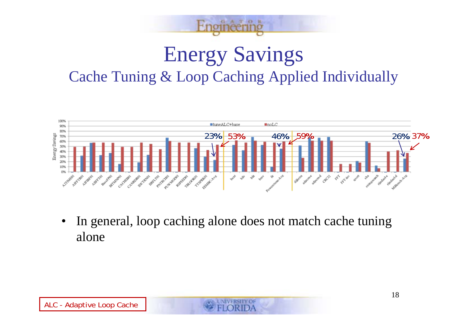

#### Energy Savings Cache Tuning & Loop Caching Applied Individually



• In general, loop caching alone does not match cache tuning alone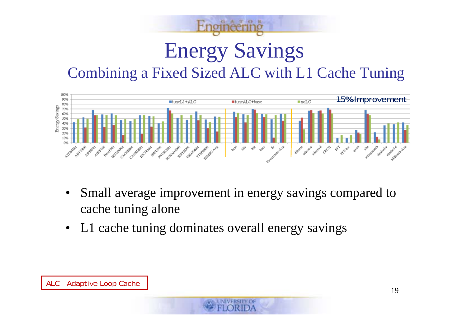#### Energy Savings Combining a Fixed Sized ALC with L1 Cache Tuning

TOR



- • Small average improvement in energy savings compared to cache tuning alone
- •L1 cache tuning dominates overall energy savings

ALC - Adaptive Loop Cache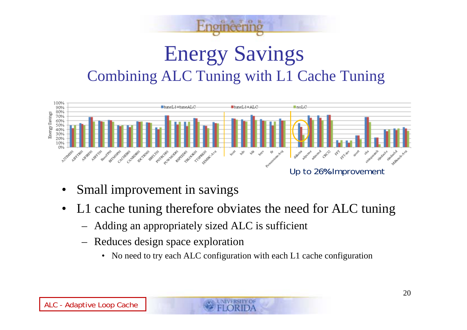



- •Small improvement in savings
- $\bullet$  L1 cache tuning therefore obviates the need for ALC tuning
	- Adding an appropriately sized ALC is sufficient
	- Reduces design space exploration
		- •No need to try each ALC configuration with each L1 cache configuration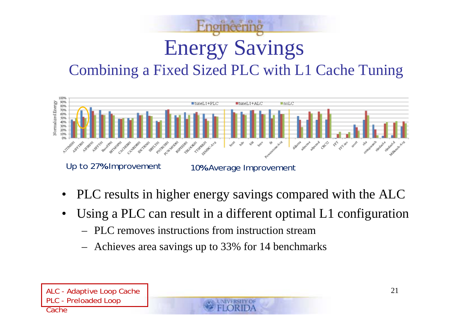## Energy Savings Combining a Fixed Sized PLC with L1 Cache Tuning



- •PLC results in higher energy savings compared with the ALC
- $\bullet$  Using a PLC can result in a different optimal L1 configuration
	- PLC removes instructions from instruction stream
	- Achieves area savings up to 33% for 14 benchmarks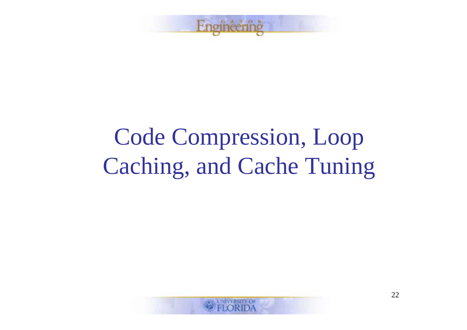

## Code Compression, Loop Caching, and Cache Tuning

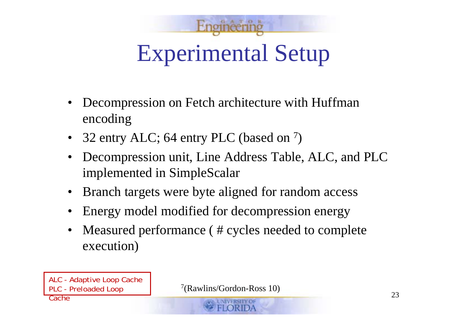

- $\bullet$  Decompression on Fetch architecture with Huffman encoding
- 32 entry ALC; 64 entry PLC (based on  $^7$ )
- $\bullet$  Decompression unit, Line Address Table, ALC, and PLC implemented in SimpleScalar
- $\bullet$ Branch targets were byte aligned for random access
- •Energy model modified for decompression energy
- $\bullet$  Measured performance ( # cycles needed to complete execution)

ALC - Adaptive Loop Cache PLC - Preloaded Loop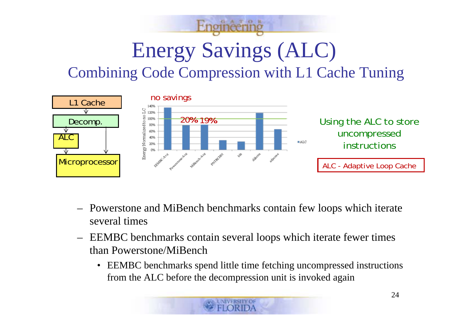## Energy Savings (ALC) Combining Code Compression with L1 Cache Tuning



- Powerstone and MiBench benchmarks contain few loops which iterate several times
- EEMBC benchmarks contain several loops which iterate fewer times than Powerstone/MiBench
	- EEMBC benchmarks spend little time fetching uncompressed instructions from the ALC before the decompression unit is invoked again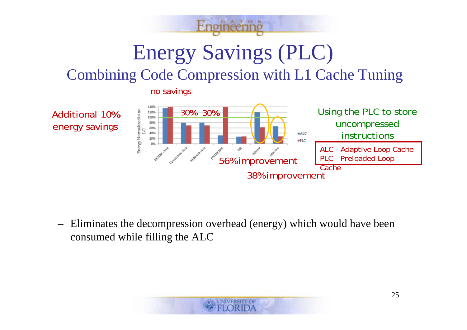

Energy Savings (PLC)

#### Combining Code Compression with L1 Cache Tuning

no savings



– Eliminates the decompression overhead (energy) which would have been consumed while filling the ALC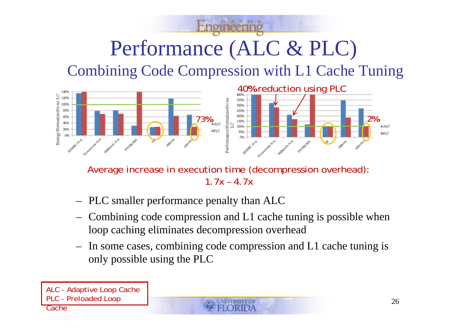#### Performance (ALC & PLC) Combining Code Compression with L1 Cache Tuning



Average increase in execution time (decompression overhead):  $1.7x - 4.7x$ 

- $\overline{\phantom{0}}$ PLC smaller performance penalty than ALC
- – Combining code compression and L1 cache tuning is possible when loop caching eliminates decompression overhead
- – In some cases, combining code compression and L1 cache tuning is only possible using the PLC

ALC - Adaptive Loop Cache PLC - Preloaded Loop **Cache**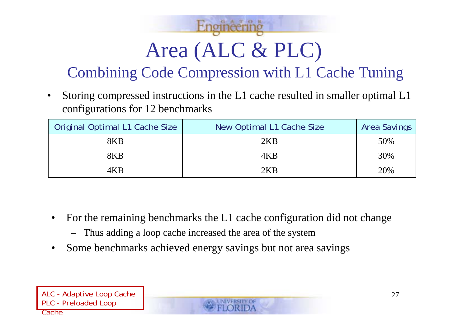# Area (ALC & PLC)

#### Combining Code Compression with L1 Cache Tuning

• Storing compressed instructions in the L1 cache resulted in smaller optimal L1 configurations for 12 benchmarks

| Original Optimal L1 Cache Size | New Optimal L1 Cache Size | <b>Area Savings</b> |
|--------------------------------|---------------------------|---------------------|
| 8KB                            | 2KB                       | 50%                 |
| 8KB                            | 4KB                       | 30%                 |
| 4KB                            | 2KB                       | 20%                 |

- • For the remaining benchmarks the L1 cache configuration did not change
	- Thus adding a loop cache increased the area of the system
- •Some benchmarks achieved energy savings but not area savings